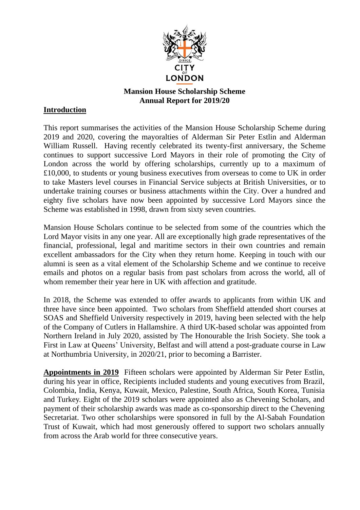

## **Mansion House Scholarship Scheme Annual Report for 2019/20**

## **Introduction**

This report summarises the activities of the Mansion House Scholarship Scheme during 2019 and 2020, covering the mayoralties of Alderman Sir Peter Estlin and Alderman William Russell. Having recently celebrated its twenty-first anniversary, the Scheme continues to support successive Lord Mayors in their role of promoting the City of London across the world by offering scholarships, currently up to a maximum of £10,000, to students or young business executives from overseas to come to UK in order to take Masters level courses in Financial Service subjects at British Universities, or to undertake training courses or business attachments within the City. Over a hundred and eighty five scholars have now been appointed by successive Lord Mayors since the Scheme was established in 1998, drawn from sixty seven countries.

Mansion House Scholars continue to be selected from some of the countries which the Lord Mayor visits in any one year. All are exceptionally high grade representatives of the financial, professional, legal and maritime sectors in their own countries and remain excellent ambassadors for the City when they return home. Keeping in touch with our alumni is seen as a vital element of the Scholarship Scheme and we continue to receive emails and photos on a regular basis from past scholars from across the world, all of whom remember their year here in UK with affection and gratitude.

In 2018, the Scheme was extended to offer awards to applicants from within UK and three have since been appointed. Two scholars from Sheffield attended short courses at SOAS and Sheffield University respectively in 2019, having been selected with the help of the Company of Cutlers in Hallamshire. A third UK-based scholar was appointed from Northern Ireland in July 2020, assisted by The Honourable the Irish Society. She took a First in Law at Queens' University, Belfast and will attend a post-graduate course in Law at Northumbria University, in 2020/21, prior to becoming a Barrister.

**Appointments in 2019** Fifteen scholars were appointed by Alderman Sir Peter Estlin, during his year in office, Recipients included students and young executives from Brazil, Colombia, India, Kenya, Kuwait, Mexico, Palestine, South Africa, South Korea, Tunisia and Turkey. Eight of the 2019 scholars were appointed also as Chevening Scholars, and payment of their scholarship awards was made as co-sponsorship direct to the Chevening Secretariat. Two other scholarships were sponsored in full by the Al-Sabah Foundation Trust of Kuwait, which had most generously offered to support two scholars annually from across the Arab world for three consecutive years.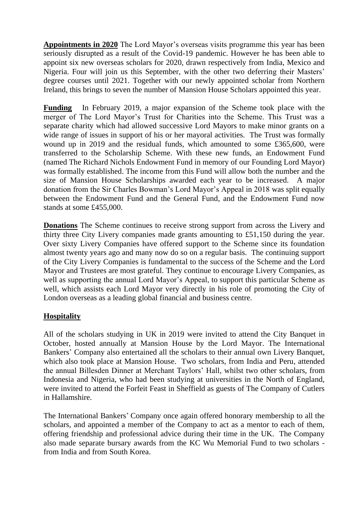**Appointments in 2020** The Lord Mayor's overseas visits programme this year has been seriously disrupted as a result of the Covid-19 pandemic. However he has been able to appoint six new overseas scholars for 2020, drawn respectively from India, Mexico and Nigeria. Four will join us this September, with the other two deferring their Masters' degree courses until 2021. Together with our newly appointed scholar from Northern Ireland, this brings to seven the number of Mansion House Scholars appointed this year.

**Funding** In February 2019, a major expansion of the Scheme took place with the merger of The Lord Mayor's Trust for Charities into the Scheme. This Trust was a separate charity which had allowed successive Lord Mayors to make minor grants on a wide range of issues in support of his or her mayoral activities. The Trust was formally wound up in 2019 and the residual funds, which amounted to some £365,600, were transferred to the Scholarship Scheme. With these new funds, an Endowment Fund (named The Richard Nichols Endowment Fund in memory of our Founding Lord Mayor) was formally established. The income from this Fund will allow both the number and the size of Mansion House Scholarships awarded each year to be increased. A major donation from the Sir Charles Bowman's Lord Mayor's Appeal in 2018 was split equally between the Endowment Fund and the General Fund, and the Endowment Fund now stands at some £455,000.

**Donations** The Scheme continues to receive strong support from across the Livery and thirty three City Livery companies made grants amounting to £51,150 during the year. Over sixty Livery Companies have offered support to the Scheme since its foundation almost twenty years ago and many now do so on a regular basis. The continuing support of the City Livery Companies is fundamental to the success of the Scheme and the Lord Mayor and Trustees are most grateful. They continue to encourage Livery Companies, as well as supporting the annual Lord Mayor's Appeal, to support this particular Scheme as well, which assists each Lord Mayor very directly in his role of promoting the City of London overseas as a leading global financial and business centre.

## **Hospitality**

All of the scholars studying in UK in 2019 were invited to attend the City Banquet in October, hosted annually at Mansion House by the Lord Mayor. The International Bankers' Company also entertained all the scholars to their annual own Livery Banquet, which also took place at Mansion House. Two scholars, from India and Peru, attended the annual Billesden Dinner at Merchant Taylors' Hall, whilst two other scholars, from Indonesia and Nigeria, who had been studying at universities in the North of England, were invited to attend the Forfeit Feast in Sheffield as guests of The Company of Cutlers in Hallamshire.

The International Bankers' Company once again offered honorary membership to all the scholars, and appointed a member of the Company to act as a mentor to each of them, offering friendship and professional advice during their time in the UK. The Company also made separate bursary awards from the KC Wu Memorial Fund to two scholars from India and from South Korea.